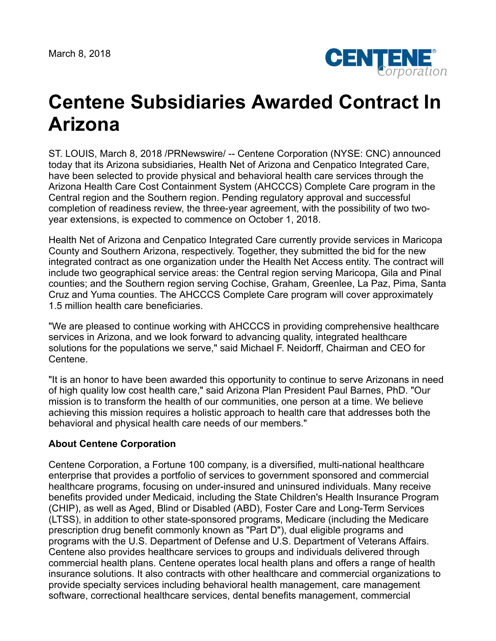March 8, 2018



## **Centene Subsidiaries Awarded Contract In Arizona**

ST. LOUIS, March 8, 2018 /PRNewswire/ -- Centene Corporation (NYSE: CNC) announced today that its Arizona subsidiaries, Health Net of Arizona and Cenpatico Integrated Care, have been selected to provide physical and behavioral health care services through the Arizona Health Care Cost Containment System (AHCCCS) Complete Care program in the Central region and the Southern region. Pending regulatory approval and successful completion of readiness review, the three-year agreement, with the possibility of two twoyear extensions, is expected to commence on October 1, 2018.

Health Net of Arizona and Cenpatico Integrated Care currently provide services in Maricopa County and Southern Arizona, respectively. Together, they submitted the bid for the new integrated contract as one organization under the Health Net Access entity. The contract will include two geographical service areas: the Central region serving Maricopa, Gila and Pinal counties; and the Southern region serving Cochise, Graham, Greenlee, La Paz, Pima, Santa Cruz and Yuma counties. The AHCCCS Complete Care program will cover approximately 1.5 million health care beneficiaries.

"We are pleased to continue working with AHCCCS in providing comprehensive healthcare services in Arizona, and we look forward to advancing quality, integrated healthcare solutions for the populations we serve," said Michael F. Neidorff, Chairman and CEO for Centene.

"It is an honor to have been awarded this opportunity to continue to serve Arizonans in need of high quality low cost health care," said Arizona Plan President Paul Barnes, PhD. "Our mission is to transform the health of our communities, one person at a time. We believe achieving this mission requires a holistic approach to health care that addresses both the behavioral and physical health care needs of our members."

## **About Centene Corporation**

Centene Corporation, a Fortune 100 company, is a diversified, multi-national healthcare enterprise that provides a portfolio of services to government sponsored and commercial healthcare programs, focusing on under-insured and uninsured individuals. Many receive benefits provided under Medicaid, including the State Children's Health Insurance Program (CHIP), as well as Aged, Blind or Disabled (ABD), Foster Care and Long-Term Services (LTSS), in addition to other state-sponsored programs, Medicare (including the Medicare prescription drug benefit commonly known as "Part D"), dual eligible programs and programs with the U.S. Department of Defense and U.S. Department of Veterans Affairs. Centene also provides healthcare services to groups and individuals delivered through commercial health plans. Centene operates local health plans and offers a range of health insurance solutions. It also contracts with other healthcare and commercial organizations to provide specialty services including behavioral health management, care management software, correctional healthcare services, dental benefits management, commercial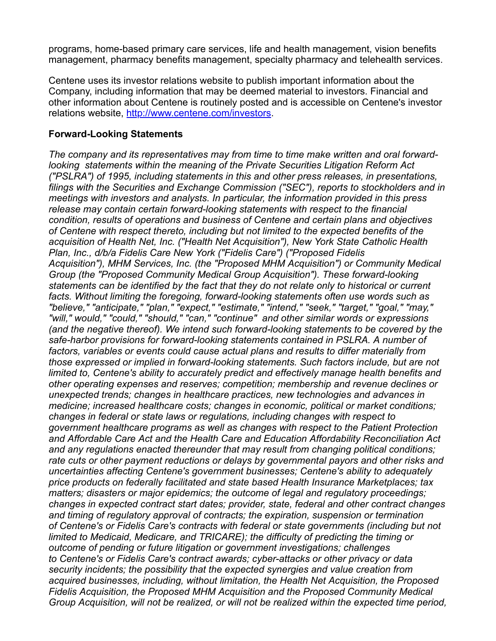programs, home-based primary care services, life and health management, vision benefits management, pharmacy benefits management, specialty pharmacy and telehealth services.

Centene uses its investor relations website to publish important information about the Company, including information that may be deemed material to investors. Financial and other information about Centene is routinely posted and is accessible on Centene's investor relations website, <http://www.centene.com/investors>.

## **Forward-Looking Statements**

*The company and its representatives may from time to time make written and oral forwardlooking statements within the meaning of the Private Securities Litigation Reform Act ("PSLRA") of 1995, including statements in this and other press releases, in presentations, filings with the Securities and Exchange Commission ("SEC"), reports to stockholders and in meetings with investors and analysts. In particular, the information provided in this press release may contain certain forward-looking statements with respect to the financial condition, results of operations and business of Centene and certain plans and objectives of Centene with respect thereto, including but not limited to the expected benefits of the acquisition of Health Net, Inc. ("Health Net Acquisition"), New York State Catholic Health Plan, Inc., d/b/a Fidelis Care New York ("Fidelis Care") ("Proposed Fidelis Acquisition"), MHM Services, Inc. (the "Proposed MHM Acquisition") or Community Medical Group (the "Proposed Community Medical Group Acquisition"). These forward-looking statements can be identified by the fact that they do not relate only to historical or current facts. Without limiting the foregoing, forward-looking statements often use words such as "believe," "anticipate," "plan," "expect," "estimate," "intend," "seek," "target," "goal," "may," "will," would," "could," "should," "can," "continue" and other similar words or expressions (and the negative thereof). We intend such forward-looking statements to be covered by the safe-harbor provisions for forward-looking statements contained in PSLRA. A number of factors, variables or events could cause actual plans and results to differ materially from those expressed or implied in forward-looking statements. Such factors include, but are not limited to, Centene's ability to accurately predict and effectively manage health benefits and other operating expenses and reserves; competition; membership and revenue declines or unexpected trends; changes in healthcare practices, new technologies and advances in medicine; increased healthcare costs; changes in economic, political or market conditions; changes in federal or state laws or regulations, including changes with respect to government healthcare programs as well as changes with respect to the Patient Protection and Affordable Care Act and the Health Care and Education Affordability Reconciliation Act and any regulations enacted thereunder that may result from changing political conditions; rate cuts or other payment reductions or delays by governmental payors and other risks and uncertainties affecting Centene's government businesses; Centene's ability to adequately price products on federally facilitated and state based Health Insurance Marketplaces; tax matters; disasters or major epidemics; the outcome of legal and regulatory proceedings; changes in expected contract start dates; provider, state, federal and other contract changes and timing of regulatory approval of contracts; the expiration, suspension or termination of Centene's or Fidelis Care's contracts with federal or state governments (including but not limited to Medicaid, Medicare, and TRICARE); the difficulty of predicting the timing or outcome of pending or future litigation or government investigations; challenges to Centene's or Fidelis Care's contract awards; cyber-attacks or other privacy or data security incidents; the possibility that the expected synergies and value creation from acquired businesses, including, without limitation, the Health Net Acquisition, the Proposed Fidelis Acquisition, the Proposed MHM Acquisition and the Proposed Community Medical Group Acquisition, will not be realized, or will not be realized within the expected time period,*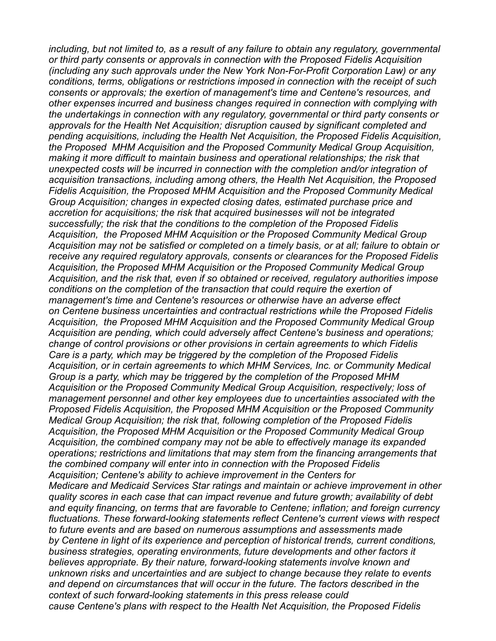*including, but not limited to, as a result of any failure to obtain any regulatory, governmental or third party consents or approvals in connection with the Proposed Fidelis Acquisition (including any such approvals under the New York Non-For-Profit Corporation Law) or any conditions, terms, obligations or restrictions imposed in connection with the receipt of such consents or approvals; the exertion of management's time and Centene's resources, and other expenses incurred and business changes required in connection with complying with the undertakings in connection with any regulatory, governmental or third party consents or approvals for the Health Net Acquisition; disruption caused by significant completed and pending acquisitions, including the Health Net Acquisition, the Proposed Fidelis Acquisition, the Proposed MHM Acquisition and the Proposed Community Medical Group Acquisition, making it more difficult to maintain business and operational relationships; the risk that unexpected costs will be incurred in connection with the completion and/or integration of acquisition transactions, including among others, the Health Net Acquisition, the Proposed Fidelis Acquisition, the Proposed MHM Acquisition and the Proposed Community Medical Group Acquisition; changes in expected closing dates, estimated purchase price and accretion for acquisitions; the risk that acquired businesses will not be integrated successfully; the risk that the conditions to the completion of the Proposed Fidelis Acquisition, the Proposed MHM Acquisition or the Proposed Community Medical Group Acquisition may not be satisfied or completed on a timely basis, or at all; failure to obtain or receive any required regulatory approvals, consents or clearances for the Proposed Fidelis Acquisition, the Proposed MHM Acquisition or the Proposed Community Medical Group Acquisition, and the risk that, even if so obtained or received, regulatory authorities impose conditions on the completion of the transaction that could require the exertion of management's time and Centene's resources or otherwise have an adverse effect on Centene business uncertainties and contractual restrictions while the Proposed Fidelis Acquisition, the Proposed MHM Acquisition and the Proposed Community Medical Group Acquisition are pending, which could adversely affect Centene's business and operations; change of control provisions or other provisions in certain agreements to which Fidelis Care is a party, which may be triggered by the completion of the Proposed Fidelis Acquisition, or in certain agreements to which MHM Services, Inc. or Community Medical Group is a party, which may be triggered by the completion of the Proposed MHM Acquisition or the Proposed Community Medical Group Acquisition, respectively; loss of management personnel and other key employees due to uncertainties associated with the Proposed Fidelis Acquisition, the Proposed MHM Acquisition or the Proposed Community Medical Group Acquisition; the risk that, following completion of the Proposed Fidelis Acquisition, the Proposed MHM Acquisition or the Proposed Community Medical Group Acquisition, the combined company may not be able to effectively manage its expanded operations; restrictions and limitations that may stem from the financing arrangements that the combined company will enter into in connection with the Proposed Fidelis Acquisition; Centene's ability to achieve improvement in the Centers for Medicare and Medicaid Services Star ratings and maintain or achieve improvement in other quality scores in each case that can impact revenue and future growth; availability of debt and equity financing, on terms that are favorable to Centene; inflation; and foreign currency fluctuations. These forward-looking statements reflect Centene's current views with respect to future events and are based on numerous assumptions and assessments made by Centene in light of its experience and perception of historical trends, current conditions, business strategies, operating environments, future developments and other factors it believes appropriate. By their nature, forward-looking statements involve known and unknown risks and uncertainties and are subject to change because they relate to events and depend on circumstances that will occur in the future. The factors described in the context of such forward-looking statements in this press release could cause Centene's plans with respect to the Health Net Acquisition, the Proposed Fidelis*